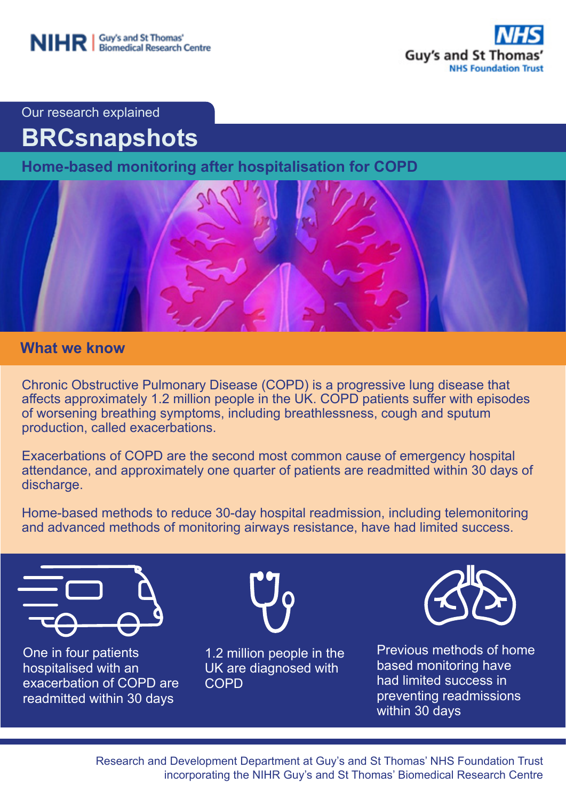

Our research explained

# **BRCsnapshots**

**Home-based monitoring after hospitalisation for COPD** 



## **What we know**

Chronic Obstructive Pulmonary Disease (COPD) is a progressive lung disease that affects approximately 1.2 million people in the UK. COPD patients suffer with episodes of worsening breathing symptoms, including breathlessness, cough and sputum production, called exacerbations.

Exacerbations of COPD are the second most common cause of emergency hospital attendance, and approximately one quarter of patients are readmitted within 30 days of discharge.

Home-based methods to reduce 30-day hospital readmission, including telemonitoring and advanced methods of monitoring airways resistance, have had limited success.



One in four patients hospitalised with an exacerbation of COPD are readmitted within 30 days



1.2 million people in the UK are diagnosed with **COPD** 



Previous methods of home based monitoring have had limited success in preventing readmissions within 30 days